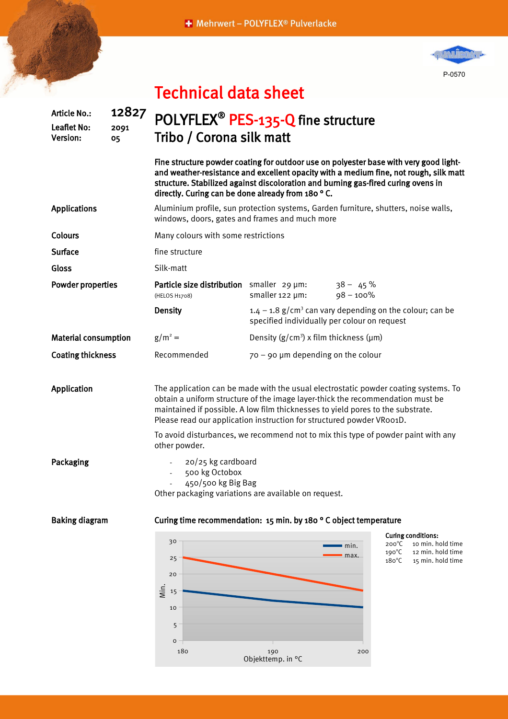+ Mehrwert - POLYFLEX® Pulverlacke



|                             |                                                |                     | Technical data sheet                                                                                                                                                                                                                                                                                                                                                                                                   |                                                |                                                                                                                                                                   |  |
|-----------------------------|------------------------------------------------|---------------------|------------------------------------------------------------------------------------------------------------------------------------------------------------------------------------------------------------------------------------------------------------------------------------------------------------------------------------------------------------------------------------------------------------------------|------------------------------------------------|-------------------------------------------------------------------------------------------------------------------------------------------------------------------|--|
|                             | <b>Article No.:</b><br>Leaflet No:<br>Version: | 12827<br>2091<br>05 | POLYFLEX <sup>®</sup> PES-135-Q fine structure<br>Tribo / Corona silk matt                                                                                                                                                                                                                                                                                                                                             |                                                |                                                                                                                                                                   |  |
|                             |                                                |                     | Fine structure powder coating for outdoor use on polyester base with very good light-<br>and weather-resistance and excellent opacity with a medium fine, not rough, silk matt<br>structure. Stabilized against discoloration and burning gas-fired curing ovens in<br>directly. Curing can be done already from 180 °C.                                                                                               |                                                |                                                                                                                                                                   |  |
| <b>Applications</b>         |                                                |                     | Aluminium profile, sun protection systems, Garden furniture, shutters, noise walls,<br>windows, doors, gates and frames and much more                                                                                                                                                                                                                                                                                  |                                                |                                                                                                                                                                   |  |
| <b>Colours</b>              |                                                |                     | Many colours with some restrictions                                                                                                                                                                                                                                                                                                                                                                                    |                                                |                                                                                                                                                                   |  |
| <b>Surface</b><br>Gloss     |                                                |                     | fine structure<br>Silk-matt                                                                                                                                                                                                                                                                                                                                                                                            |                                                |                                                                                                                                                                   |  |
|                             |                                                |                     |                                                                                                                                                                                                                                                                                                                                                                                                                        |                                                |                                                                                                                                                                   |  |
| <b>Powder properties</b>    |                                                |                     | Particle size distribution smaller 29 um:<br>(HELOS H1708)                                                                                                                                                                                                                                                                                                                                                             | smaller 122 µm:                                | $38 - 45%$<br>$98 - 100\%$                                                                                                                                        |  |
|                             |                                                |                     | <b>Density</b>                                                                                                                                                                                                                                                                                                                                                                                                         | specified individually per colour on request   | $1.4 - 1.8$ g/cm <sup>3</sup> can vary depending on the colour; can be                                                                                            |  |
| <b>Material consumption</b> |                                                |                     | $g/m^2 =$                                                                                                                                                                                                                                                                                                                                                                                                              | Density $(g/cm^3)$ x film thickness ( $\mu$ m) |                                                                                                                                                                   |  |
| <b>Coating thickness</b>    |                                                |                     | Recommended                                                                                                                                                                                                                                                                                                                                                                                                            | $70 - 90$ µm depending on the colour           |                                                                                                                                                                   |  |
| Application                 |                                                |                     | The application can be made with the usual electrostatic powder coating systems. To<br>obtain a uniform structure of the image layer-thick the recommendation must be<br>maintained if possible. A low film thicknesses to yield pores to the substrate.<br>Please read our application instruction for structured powder VR001D.<br>To avoid disturbances, we recommend not to mix this type of powder paint with any |                                                |                                                                                                                                                                   |  |
|                             |                                                |                     | other powder.                                                                                                                                                                                                                                                                                                                                                                                                          |                                                |                                                                                                                                                                   |  |
| Packaging                   |                                                |                     | 20/25 kg cardboard<br>500 kg Octobox<br>450/500 kg Big Bag<br>Other packaging variations are available on request.                                                                                                                                                                                                                                                                                                     |                                                |                                                                                                                                                                   |  |
| <b>Baking diagram</b>       |                                                |                     | Curing time recommendation: 15 min. by 180 ° C object temperature                                                                                                                                                                                                                                                                                                                                                      |                                                |                                                                                                                                                                   |  |
|                             |                                                |                     | 30<br>25<br>20<br>Min.<br>15<br>10<br>5<br>$\mathsf{o}\xspace$                                                                                                                                                                                                                                                                                                                                                         |                                                | <b>Curing conditions:</b><br>$200^{\circ}$ C<br>10 min. hold time<br>min.<br>$190^{\circ}$ C<br>12 min. hold time<br>max.<br>$180^{\circ}$ C<br>15 min. hold time |  |

180 190 200

Objekttemp. in °C

## Technical data sheet